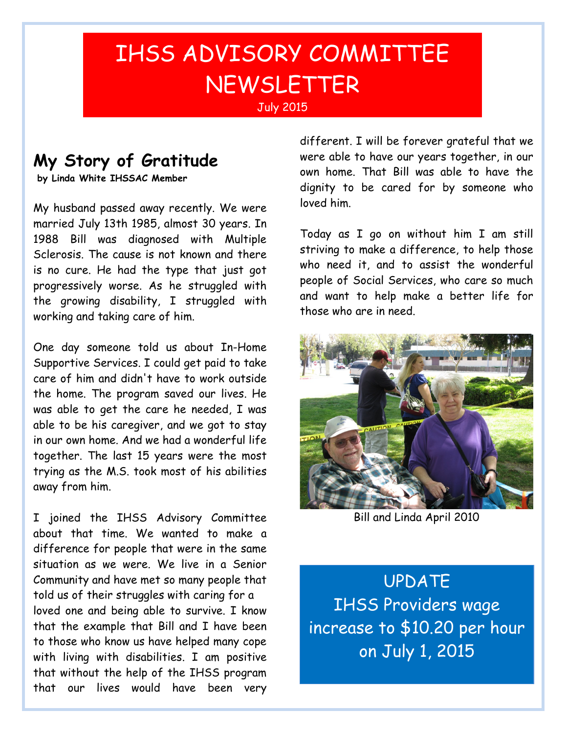## IHSS ADVISORY COMMITTEE NEWSLETTER

## **My Story of Gratitude**

**by Linda White IHSSAC Member**

My husband passed away recently. We were married July 13th 1985, almost 30 years. In 1988 Bill was diagnosed with Multiple Sclerosis. The cause is not known and there is no cure. He had the type that just got progressively worse. As he struggled with the growing disability, I struggled with working and taking care of him.

One day someone told us about In-Home Supportive Services. I could get paid to take care of him and didn't have to work outside the home. The program saved our lives. He was able to get the care he needed, I was able to be his caregiver, and we got to stay in our own home. And we had a wonderful life together. The last 15 years were the most trying as the M.S. took most of his abilities away from him.

I joined the IHSS Advisory Committee about that time. We wanted to make a difference for people that were in the same situation as we were. We live in a Senior Community and have met so many people that told us of their struggles with caring for a loved one and being able to survive. I know that the example that Bill and I have been to those who know us have helped many cope with living with disabilities. I am positive that without the help of the IHSS program that our lives would have been very

different. I will be forever grateful that we were able to have our years together, in our own home. That Bill was able to have the dignity to be cared for by someone who loved him.

Today as I go on without him I am still striving to make a difference, to help those who need it, and to assist the wonderful people of Social Services, who care so much and want to help make a better life for those who are in need.



Bill and Linda April 2010

UPDATE IHSS Providers wage increase to \$10.20 per hour on July 1, 2015